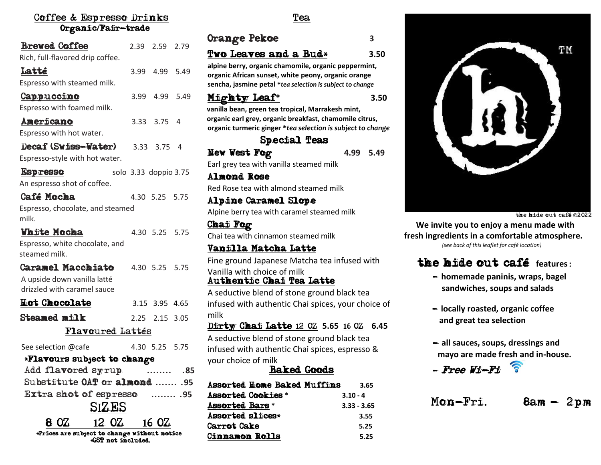#### Coffee & Espresso Drinks Organic/Fair-trade

| <b>Brewed Coffee</b>                                               |                       | 2.39 2.59 2.79 |      |
|--------------------------------------------------------------------|-----------------------|----------------|------|
| Rich, full-flavored drip coffee.                                   |                       |                |      |
| Latté                                                              |                       | 3.99 4.99 5.49 |      |
| Espresso with steamed milk.                                        |                       |                |      |
| Cappuccino                                                         |                       | 3.99 4.99 5.49 |      |
| Espresso with foamed milk.                                         |                       |                |      |
| Americano                                                          |                       | 3.33 3.75 4    |      |
| Espresso with hot water.                                           |                       |                |      |
| Decaf (Swiss-Water)                                                |                       | 3.33 3.75      | 4    |
| Espresso-style with hot water.                                     |                       |                |      |
| <b>Espresso</b>                                                    | solo 3.33 doppio 3.75 |                |      |
| An espresso shot of coffee.                                        |                       |                |      |
| Café Mocha                                                         |                       | 4.30 5.25 5.75 |      |
| Espresso, chocolate, and steamed                                   |                       |                |      |
| milk.                                                              |                       |                |      |
| <b>White Mocha</b>                                                 |                       | 4.30 5.25 5.75 |      |
| Espresso, white chocolate, and<br>steamed milk.                    |                       |                |      |
| <b>Caramel Macchiato</b>                                           |                       | 4.30 5.25 5.75 |      |
| A upside down vanilla latté<br>drizzled with caramel sauce         |                       |                |      |
| <b>Hot Chocolate</b>                                               |                       | 3.15 3.95 4.65 |      |
| <b>Steamed milk</b>                                                |                       | 2.25 2.15 3.05 |      |
| <b>Flavoured Lattés</b>                                            |                       |                |      |
| See selection @cafe                                                |                       | 4.30 5.25 5.75 |      |
| *Flavours subject to change                                        |                       |                |      |
| Add flavored syrup                                                 |                       |                | .85  |
| Substitute OAT or almond  .95                                      |                       |                |      |
| Extra shot of espresso                                             |                       |                | . 95 |
| SIZES                                                              |                       |                |      |
| 12 0 Z<br>8 0 2                                                    |                       | 16 OZ          |      |
| *Prices are subject to change without notice<br>*GST not included. |                       |                |      |

Tea

| v<br>۰, |  |  |
|---------|--|--|
|         |  |  |

Orange Pekoe **3**

# Two Leaves and a Bud\* **3.50**

**alpine berry, organic chamomile, organic peppermint, organic African sunset, white peony, organic orange sencha, jasmine petal \****tea selection is subject to change*

#### Mighty Leaf**\* 3.50**



### Special Teas

New West Fog 4.99 5.49 Earl grey tea with vanilla steamed milk

Almond Rose Red Rose tea with almond steamed milk

Alpine Caramel Slope Alpine berry tea with caramel steamed milk

Chai Fog Chai tea with cinnamon steamed milk

֪֦֧֪֦֧֦֧֦֞֘֝֟ Vanilla Matcha Latte Fine ground Japanese Matcha tea infused with Vanilla with choice of milk

### Authentic Chai Tea Latte

A seductive blend of stone ground black tea infused with authentic Chai spices, your choice of milk

Dirty Chai Latte **1**2 OZ **5.65 1**6 OZ **6.45** A seductive blend of stone ground black tea infused with authentic Chai spices, espresso & your choice of milk

### Baked Goods

| <b>Assorted Home Baked Muffins</b> | 3.65          |
|------------------------------------|---------------|
| <b>Assorted Cookies *</b>          | $3.10 - 4$    |
| Assorted Bars *                    | $3.33 - 3.65$ |
| Assorted slices*                   | 3.55          |
| <b>Carrot Cake</b>                 | 5.25          |
| Cinnamon Rolls                     | 5.25          |



the hide out café ©<sup>2022</sup>

 **We invite you to enjoy a menu made with fresh ingredients in a comfortable atmosphere.**  *(see back of this leaflet for café location)*

# the hide out café **features:**

- **homemade paninis, wraps, bagel sandwiches, soups and salads**
- **locally roasted, organic coffee and great tea selection**
- **all sauces, soups, dressings and mayo are made fresh and in-house.**



Mon-Fri.  $\qquad \qquad$  8am - 2pm